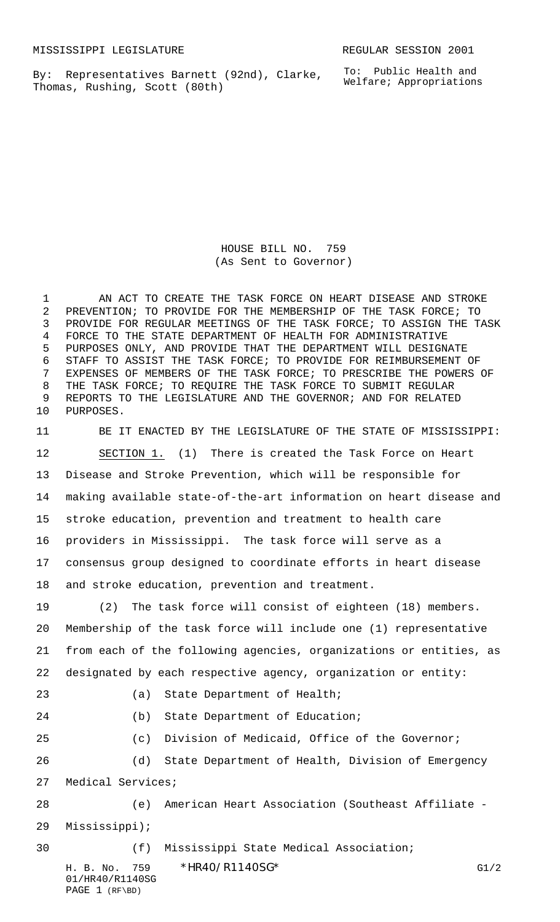By: Representatives Barnett (92nd), Clarke, Thomas, Rushing, Scott (80th)

HOUSE BILL NO. 759 (As Sent to Governor)

1 AN ACT TO CREATE THE TASK FORCE ON HEART DISEASE AND STROKE PREVENTION; TO PROVIDE FOR THE MEMBERSHIP OF THE TASK FORCE; TO PROVIDE FOR REGULAR MEETINGS OF THE TASK FORCE; TO ASSIGN THE TASK FORCE TO THE STATE DEPARTMENT OF HEALTH FOR ADMINISTRATIVE PURPOSES ONLY, AND PROVIDE THAT THE DEPARTMENT WILL DESIGNATE STAFF TO ASSIST THE TASK FORCE; TO PROVIDE FOR REIMBURSEMENT OF EXPENSES OF MEMBERS OF THE TASK FORCE; TO PRESCRIBE THE POWERS OF THE TASK FORCE; TO REQUIRE THE TASK FORCE TO SUBMIT REGULAR REPORTS TO THE LEGISLATURE AND THE GOVERNOR; AND FOR RELATED PURPOSES.

 BE IT ENACTED BY THE LEGISLATURE OF THE STATE OF MISSISSIPPI: SECTION 1. (1) There is created the Task Force on Heart Disease and Stroke Prevention, which will be responsible for making available state-of-the-art information on heart disease and stroke education, prevention and treatment to health care providers in Mississippi. The task force will serve as a consensus group designed to coordinate efforts in heart disease and stroke education, prevention and treatment.

 (2) The task force will consist of eighteen (18) members. Membership of the task force will include one (1) representative from each of the following agencies, organizations or entities, as designated by each respective agency, organization or entity:

| ٦<br>۰, |
|---------|
|         |
|         |
|         |

23 (a) State Department of Health;

24 (b) State Department of Education;

 (c) Division of Medicaid, Office of the Governor; (d) State Department of Health, Division of Emergency

Medical Services;

 (e) American Heart Association (Southeast Affiliate - Mississippi);

H. B. No. 759 \* HR40/R1140SG\* G1/2 (f) Mississippi State Medical Association;

01/HR40/R1140SG PAGE 1 (RF\BD)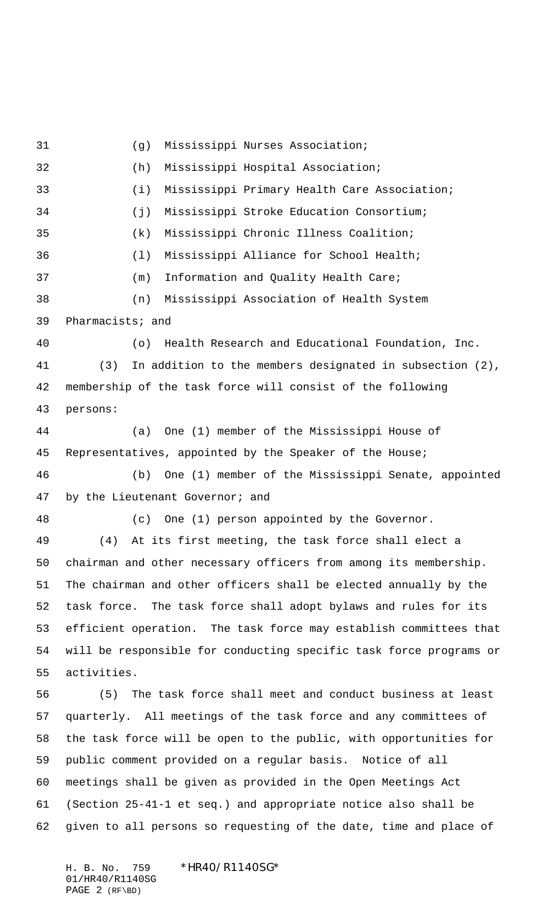(g) Mississippi Nurses Association; (h) Mississippi Hospital Association; (i) Mississippi Primary Health Care Association; (j) Mississippi Stroke Education Consortium; (k) Mississippi Chronic Illness Coalition; (l) Mississippi Alliance for School Health; (m) Information and Quality Health Care; (n) Mississippi Association of Health System Pharmacists; and (o) Health Research and Educational Foundation, Inc. (3) In addition to the members designated in subsection (2), membership of the task force will consist of the following persons: (a) One (1) member of the Mississippi House of Representatives, appointed by the Speaker of the House; (b) One (1) member of the Mississippi Senate, appointed 47 by the Lieutenant Governor; and (c) One (1) person appointed by the Governor. (4) At its first meeting, the task force shall elect a chairman and other necessary officers from among its membership. The chairman and other officers shall be elected annually by the task force. The task force shall adopt bylaws and rules for its efficient operation. The task force may establish committees that will be responsible for conducting specific task force programs or activities. (5) The task force shall meet and conduct business at least quarterly. All meetings of the task force and any committees of the task force will be open to the public, with opportunities for public comment provided on a regular basis. Notice of all meetings shall be given as provided in the Open Meetings Act (Section 25-41-1 et seq.) and appropriate notice also shall be given to all persons so requesting of the date, time and place of

H. B. No. 759 \*HR40/R1140SG\* 01/HR40/R1140SG PAGE 2 (RF\BD)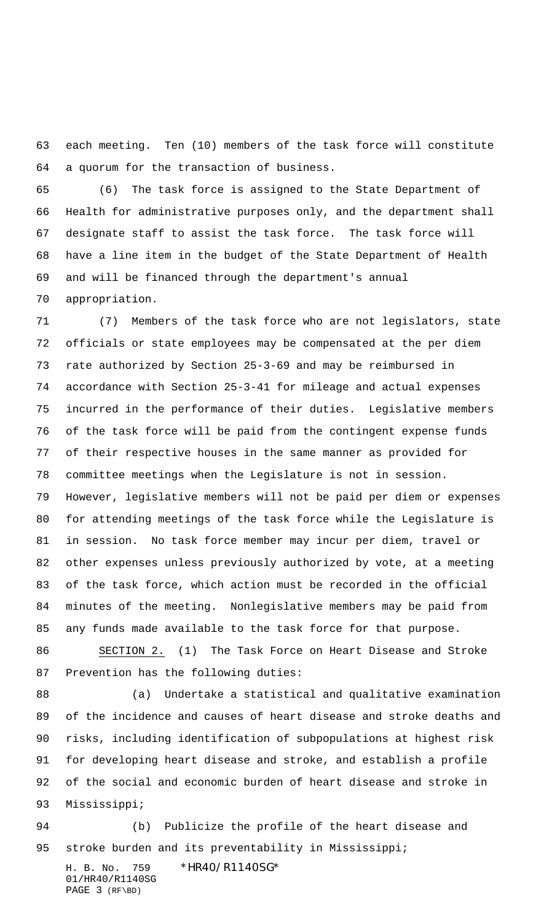each meeting. Ten (10) members of the task force will constitute a quorum for the transaction of business.

 (6) The task force is assigned to the State Department of Health for administrative purposes only, and the department shall designate staff to assist the task force. The task force will have a line item in the budget of the State Department of Health and will be financed through the department's annual appropriation.

 (7) Members of the task force who are not legislators, state officials or state employees may be compensated at the per diem rate authorized by Section 25-3-69 and may be reimbursed in accordance with Section 25-3-41 for mileage and actual expenses incurred in the performance of their duties. Legislative members of the task force will be paid from the contingent expense funds of their respective houses in the same manner as provided for committee meetings when the Legislature is not in session. However, legislative members will not be paid per diem or expenses for attending meetings of the task force while the Legislature is in session. No task force member may incur per diem, travel or other expenses unless previously authorized by vote, at a meeting of the task force, which action must be recorded in the official minutes of the meeting. Nonlegislative members may be paid from any funds made available to the task force for that purpose.

 SECTION 2. (1) The Task Force on Heart Disease and Stroke Prevention has the following duties:

 (a) Undertake a statistical and qualitative examination of the incidence and causes of heart disease and stroke deaths and risks, including identification of subpopulations at highest risk for developing heart disease and stroke, and establish a profile of the social and economic burden of heart disease and stroke in Mississippi;

 (b) Publicize the profile of the heart disease and 95 stroke burden and its preventability in Mississippi;

H. B. No. 759 \*HR40/R1140SG\* 01/HR40/R1140SG PAGE 3 (RF\BD)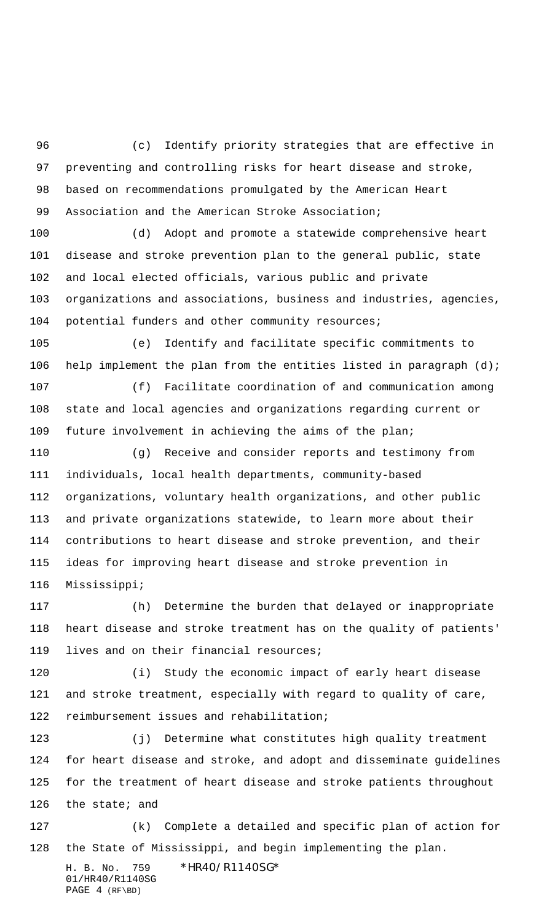(c) Identify priority strategies that are effective in preventing and controlling risks for heart disease and stroke, based on recommendations promulgated by the American Heart Association and the American Stroke Association;

 (d) Adopt and promote a statewide comprehensive heart disease and stroke prevention plan to the general public, state and local elected officials, various public and private organizations and associations, business and industries, agencies, potential funders and other community resources;

 (e) Identify and facilitate specific commitments to help implement the plan from the entities listed in paragraph (d);

 (f) Facilitate coordination of and communication among state and local agencies and organizations regarding current or future involvement in achieving the aims of the plan;

 (g) Receive and consider reports and testimony from individuals, local health departments, community-based organizations, voluntary health organizations, and other public and private organizations statewide, to learn more about their contributions to heart disease and stroke prevention, and their ideas for improving heart disease and stroke prevention in Mississippi;

 (h) Determine the burden that delayed or inappropriate heart disease and stroke treatment has on the quality of patients' lives and on their financial resources;

 (i) Study the economic impact of early heart disease and stroke treatment, especially with regard to quality of care, reimbursement issues and rehabilitation;

 (j) Determine what constitutes high quality treatment for heart disease and stroke, and adopt and disseminate guidelines for the treatment of heart disease and stroke patients throughout 126 the state; and

H. B. No. 759 \*HR40/R1140SG\* 01/HR40/R1140SG (k) Complete a detailed and specific plan of action for the State of Mississippi, and begin implementing the plan.

PAGE 4 (RF\BD)